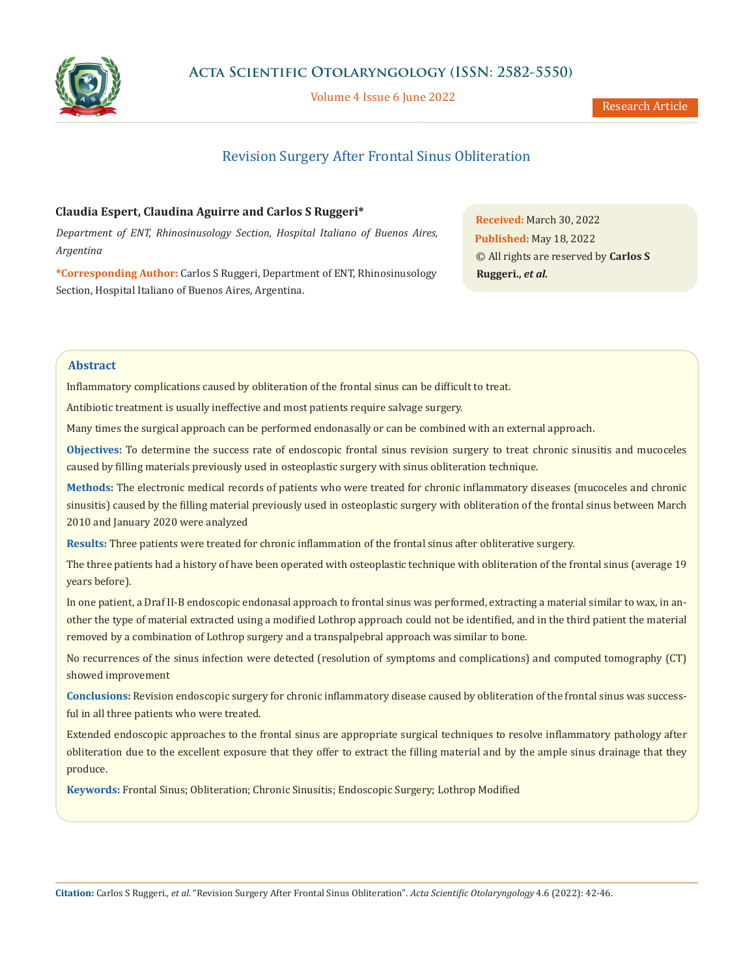

Volume 4 Issue 6 June 2022

Research Article

# Revision Surgery After Frontal Sinus Obliteration

## **Claudia Espert, Claudina Aguirre and Carlos S Ruggeri\***

*Department of ENT, Rhinosinusology Section, Hospital Italiano of Buenos Aires, Argentina*

**\*Corresponding Author:** Carlos S Ruggeri, Department of ENT, Rhinosinusology Section, Hospital Italiano of Buenos Aires, Argentina.

**Received:** March 30, 2022 **Published:** May 18, 2022 © All rights are reserved by **Carlos S Ruggeri.,** *et al.*

## **Abstract**

Inflammatory complications caused by obliteration of the frontal sinus can be difficult to treat.

Antibiotic treatment is usually ineffective and most patients require salvage surgery.

Many times the surgical approach can be performed endonasally or can be combined with an external approach.

**Objectives:** To determine the success rate of endoscopic frontal sinus revision surgery to treat chronic sinusitis and mucoceles caused by filling materials previously used in osteoplastic surgery with sinus obliteration technique.

**Methods:** The electronic medical records of patients who were treated for chronic inflammatory diseases (mucoceles and chronic sinusitis) caused by the filling material previously used in osteoplastic surgery with obliteration of the frontal sinus between March 2010 and January 2020 were analyzed

**Results:** Three patients were treated for chronic inflammation of the frontal sinus after obliterative surgery.

The three patients had a history of have been operated with osteoplastic technique with obliteration of the frontal sinus (average 19 years before).

In one patient, a Draf II-B endoscopic endonasal approach to frontal sinus was performed, extracting a material similar to wax, in another the type of material extracted using a modified Lothrop approach could not be identified, and in the third patient the material removed by a combination of Lothrop surgery and a transpalpebral approach was similar to bone.

No recurrences of the sinus infection were detected (resolution of symptoms and complications) and computed tomography (CT) showed improvement

**Conclusions:** Revision endoscopic surgery for chronic inflammatory disease caused by obliteration of the frontal sinus was successful in all three patients who were treated.

Extended endoscopic approaches to the frontal sinus are appropriate surgical techniques to resolve inflammatory pathology after obliteration due to the excellent exposure that they offer to extract the filling material and by the ample sinus drainage that they produce.

**Keywords:** Frontal Sinus; Obliteration; Chronic Sinusitis; Endoscopic Surgery; Lothrop Modified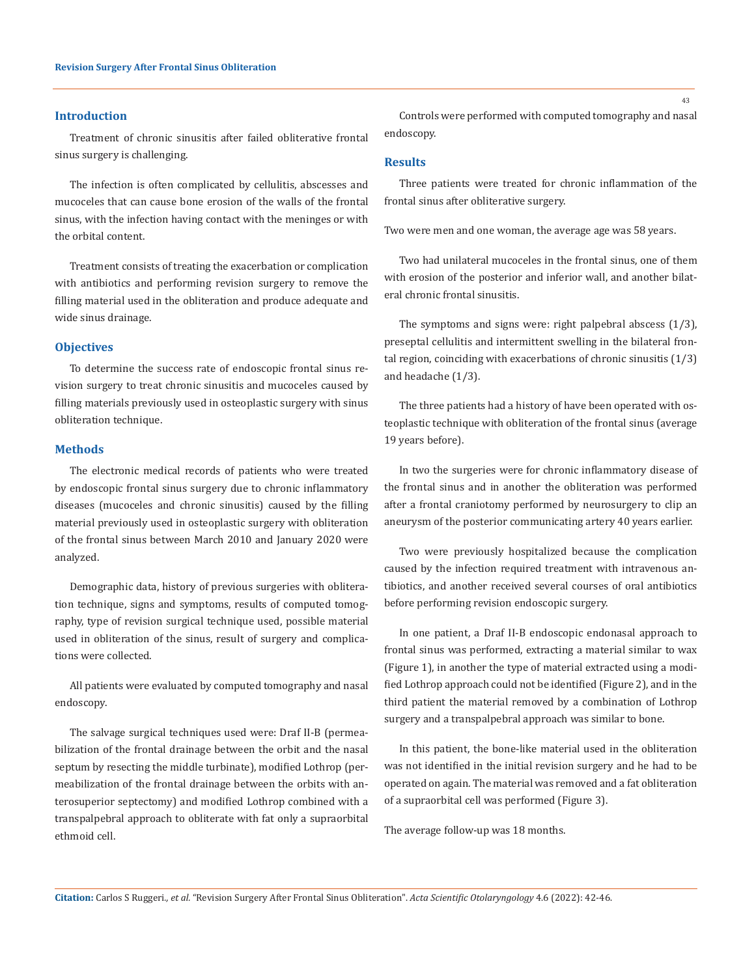## **Introduction**

Treatment of chronic sinusitis after failed obliterative frontal sinus surgery is challenging.

The infection is often complicated by cellulitis, abscesses and mucoceles that can cause bone erosion of the walls of the frontal sinus, with the infection having contact with the meninges or with the orbital content.

Treatment consists of treating the exacerbation or complication with antibiotics and performing revision surgery to remove the filling material used in the obliteration and produce adequate and wide sinus drainage.

#### **Objectives**

To determine the success rate of endoscopic frontal sinus revision surgery to treat chronic sinusitis and mucoceles caused by filling materials previously used in osteoplastic surgery with sinus obliteration technique.

#### **Methods**

The electronic medical records of patients who were treated by endoscopic frontal sinus surgery due to chronic inflammatory diseases (mucoceles and chronic sinusitis) caused by the filling material previously used in osteoplastic surgery with obliteration of the frontal sinus between March 2010 and January 2020 were analyzed.

Demographic data, history of previous surgeries with obliteration technique, signs and symptoms, results of computed tomography, type of revision surgical technique used, possible material used in obliteration of the sinus, result of surgery and complications were collected.

All patients were evaluated by computed tomography and nasal endoscopy.

The salvage surgical techniques used were: Draf II-B (permeabilization of the frontal drainage between the orbit and the nasal septum by resecting the middle turbinate), modified Lothrop (permeabilization of the frontal drainage between the orbits with anterosuperior septectomy) and modified Lothrop combined with a transpalpebral approach to obliterate with fat only a supraorbital ethmoid cell.

Controls were performed with computed tomography and nasal endoscopy.

#### **Results**

Three patients were treated for chronic inflammation of the frontal sinus after obliterative surgery.

Two were men and one woman, the average age was 58 years.

Two had unilateral mucoceles in the frontal sinus, one of them with erosion of the posterior and inferior wall, and another bilateral chronic frontal sinusitis.

The symptoms and signs were: right palpebral abscess (1/3), preseptal cellulitis and intermittent swelling in the bilateral frontal region, coinciding with exacerbations of chronic sinusitis (1/3) and headache (1/3).

The three patients had a history of have been operated with osteoplastic technique with obliteration of the frontal sinus (average 19 years before).

In two the surgeries were for chronic inflammatory disease of the frontal sinus and in another the obliteration was performed after a frontal craniotomy performed by neurosurgery to clip an aneurysm of the posterior communicating artery 40 years earlier.

Two were previously hospitalized because the complication caused by the infection required treatment with intravenous antibiotics, and another received several courses of oral antibiotics before performing revision endoscopic surgery.

In one patient, a Draf II-B endoscopic endonasal approach to frontal sinus was performed, extracting a material similar to wax (Figure 1), in another the type of material extracted using a modified Lothrop approach could not be identified (Figure 2), and in the third patient the material removed by a combination of Lothrop surgery and a transpalpebral approach was similar to bone.

In this patient, the bone-like material used in the obliteration was not identified in the initial revision surgery and he had to be operated on again. The material was removed and a fat obliteration of a supraorbital cell was performed (Figure 3).

The average follow-up was 18 months.

43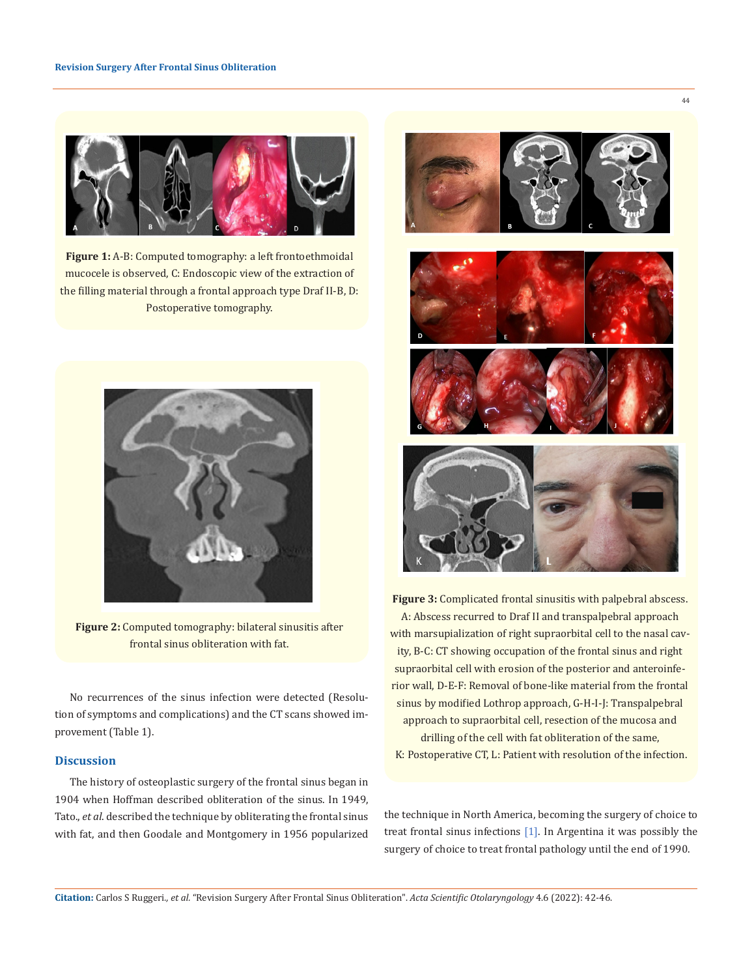

Figure 1: A-B: Computed tomography: a left frontoethmoidal mucocele is observed, C: Endoscopic view of the extraction of the filling material through a frontal approach type Draf II-B, D: Postoperative tomography.



**Figure 2:** Computed tomography: bilateral sinusitis after frontal sinus obliteration with fat.

No recurrences of the sinus infection were detected (Resolution of symptoms and complications) and the CT scans showed improvement (Table 1).

## **Discussion**

The history of osteoplastic surgery of the frontal sinus began in 1904 when Hoffman described obliteration of the sinus. In 1949, Tato., *et al*. described the technique by obliterating the frontal sinus with fat, and then Goodale and Montgomery in 1956 popularized



**Figure 3:** Complicated frontal sinusitis with palpebral abscess. A: Abscess recurred to Draf II and transpalpebral approach with marsupialization of right supraorbital cell to the nasal cavity, B-C: CT showing occupation of the frontal sinus and right supraorbital cell with erosion of the posterior and anteroinferior wall, D-E-F: Removal of bone-like material from the frontal sinus by modified Lothrop approach, G-H-I-J: Transpalpebral approach to supraorbital cell, resection of the mucosa and drilling of the cell with fat obliteration of the same, K: Postoperative CT, L: Patient with resolution of the infection.

the technique in North America, becoming the surgery of choice to treat frontal sinus infections [1]. In Argentina it was possibly the surgery of choice to treat frontal pathology until the end of 1990.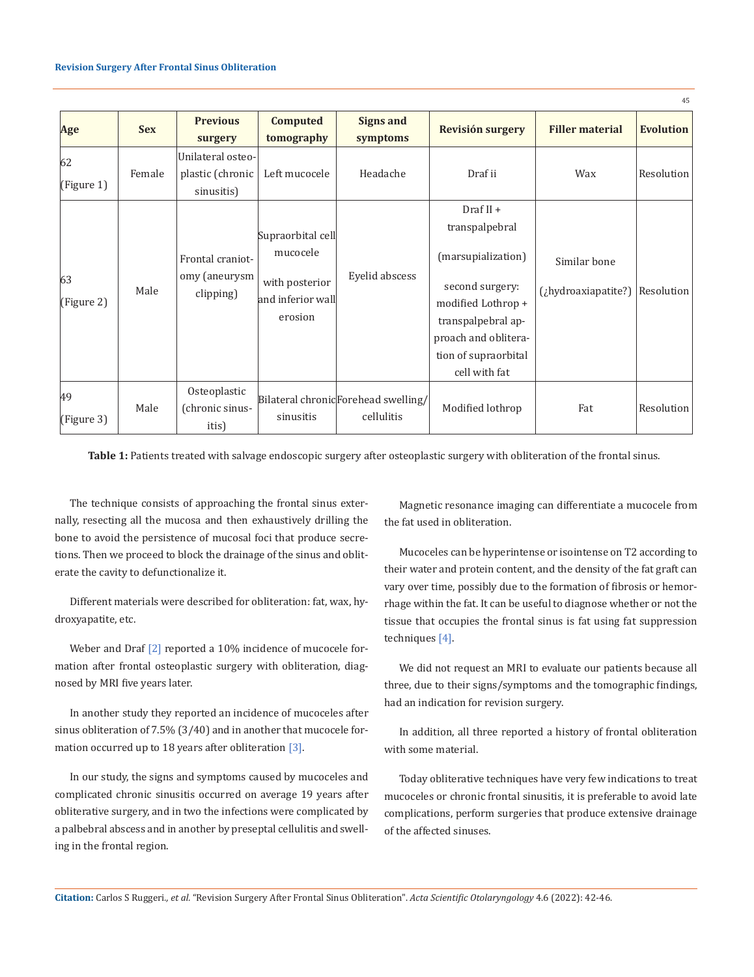|                  |            |                                                |                                                                                 |                                                    |                      |                         | 45               |
|------------------|------------|------------------------------------------------|---------------------------------------------------------------------------------|----------------------------------------------------|----------------------|-------------------------|------------------|
| Age              | <b>Sex</b> | <b>Previous</b>                                | <b>Computed</b><br>tomography                                                   | <b>Signs and</b>                                   | Revisión surgery     | <b>Filler material</b>  | <b>Evolution</b> |
|                  |            | surgery                                        |                                                                                 | symptoms                                           |                      |                         |                  |
| 62               |            | Unilateral osteo-                              |                                                                                 |                                                    |                      |                         |                  |
| (Figure 1)       | Female     | plastic (chronic                               | Left mucocele                                                                   | Headache                                           | Draf ii              | Wax                     | Resolution       |
|                  |            | sinusitis)                                     |                                                                                 |                                                    |                      |                         |                  |
| 63<br>(Figure 2) | Male       | Frontal craniot-<br>omy (aneurysm<br>clipping) | Supraorbital cell<br>mucocele<br>with posterior<br>and inferior wall<br>erosion | Eyelid abscess                                     | Draf $II +$          |                         |                  |
|                  |            |                                                |                                                                                 |                                                    | transpalpebral       |                         |                  |
|                  |            |                                                |                                                                                 |                                                    | (marsupialization)   | Similar bone            |                  |
|                  |            |                                                |                                                                                 |                                                    | second surgery:      | $(i)$ hydroaxiapatite?) | Resolution       |
|                  |            |                                                |                                                                                 |                                                    | modified Lothrop +   |                         |                  |
|                  |            |                                                |                                                                                 |                                                    | transpalpebral ap-   |                         |                  |
|                  |            |                                                |                                                                                 |                                                    | proach and oblitera- |                         |                  |
|                  |            |                                                |                                                                                 |                                                    | tion of supraorbital |                         |                  |
|                  |            |                                                |                                                                                 |                                                    | cell with fat        |                         |                  |
| 49<br>(Figure 3) | Male       | Osteoplastic<br>(chronic sinus-                | sinusitis                                                                       | Bilateral chronic Forehead swelling/<br>cellulitis | Modified lothrop     | Fat                     | Resolution       |
|                  |            | itis)                                          |                                                                                 |                                                    |                      |                         |                  |

**Table 1:** Patients treated with salvage endoscopic surgery after osteoplastic surgery with obliteration of the frontal sinus.

The technique consists of approaching the frontal sinus externally, resecting all the mucosa and then exhaustively drilling the bone to avoid the persistence of mucosal foci that produce secretions. Then we proceed to block the drainage of the sinus and obliterate the cavity to defunctionalize it.

Different materials were described for obliteration: fat, wax, hydroxyapatite, etc.

Weber and Draf [2] reported a 10% incidence of mucocele formation after frontal osteoplastic surgery with obliteration, diagnosed by MRI five years later.

In another study they reported an incidence of mucoceles after sinus obliteration of 7.5% (3/40) and in another that mucocele formation occurred up to 18 years after obliteration [3].

In our study, the signs and symptoms caused by mucoceles and complicated chronic sinusitis occurred on average 19 years after obliterative surgery, and in two the infections were complicated by a palbebral abscess and in another by preseptal cellulitis and swelling in the frontal region.

Magnetic resonance imaging can differentiate a mucocele from the fat used in obliteration.

Mucoceles can be hyperintense or isointense on T2 according to their water and protein content, and the density of the fat graft can vary over time, possibly due to the formation of fibrosis or hemorrhage within the fat. It can be useful to diagnose whether or not the tissue that occupies the frontal sinus is fat using fat suppression techniques [4].

We did not request an MRI to evaluate our patients because all three, due to their signs/symptoms and the tomographic findings, had an indication for revision surgery.

In addition, all three reported a history of frontal obliteration with some material.

Today obliterative techniques have very few indications to treat mucoceles or chronic frontal sinusitis, it is preferable to avoid late complications, perform surgeries that produce extensive drainage of the affected sinuses.

**Citation:** Carlos S Ruggeri*., et al.* "Revision Surgery After Frontal Sinus Obliteration". *Acta Scientific Otolaryngology* 4.6 (2022): 42-46.